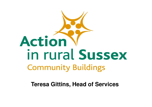

**Teresa Gittins, Head of Services**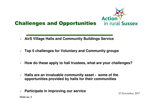

- **AirS Village Halls and Community Buildings Service**
- **Top 5 challenges for Voluntary and Community groups**
- **How do these apply to hall trustees, what are your challenges?**
- $\checkmark$  **Halls are an invaluable community asset - some of the opportunities provided by halls for their communities**
- $\checkmark$ **Participate in improving our service** 23 November, 2017

**Slide no. 2**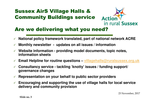## Sussex AirS Village Halls & Community Buildings service



#### Are we delivering what you need?

- $\checkmark$ **National policy framework translated, part of national network ACRE**
- $\checkmark$ **Monthly newsletter - updates on all issues / information**
- $\checkmark$  **Website information - providing model documents, topic notes, information sheets**
- $\checkmark$ **Email Helpline for routine questions – villagehalls@ruralsussex.org.uk**
- $\checkmark$  **Consultancy service - tackling 'knotty' issues / funding support/ governance changes**
- $\checkmark$ **Representation on your behalf to public sector providers**
- **Encouraging and supporting the use of village halls for local service delivery and community provision**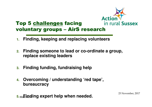

#### Top 5 challenges facing voluntary groups – AirS research

- **1. Finding, keeping and replacing volunteers**
- **2. Finding someone to lead or co-ordinate a group, replace existing leaders**
- **3.Finding funding, fundraising help**
- **4. Overcoming / understanding 'red tape', bureaucracy**

**Slide no. 45. Finding expert help when needed.** 23 November, 2017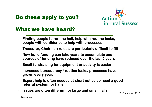## Do these apply to you?



#### What we have heard?

- **Finding people to run the hall, help with routine tasks, people with confidence to help with processes**
- **Treasurer, Chairman roles are particularly difficult to fill**
- **New build funding can take years to accumulate and sources of funding have reduced over the last 5 years**
- **Small fundraising for equipment or activity is easier**
- $\checkmark$  **Increased bureaucracy / routine tasks/ processes have grown every year.**
- **Expert help is often needed at short notice so need a good referral system for halls**
- $\checkmark$ **Issues are often different for large and small halls** 23 November, 2017

**Slide no. 5**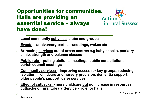#### Opportunities for communities. Halls are providing an **Actio** essential service – always have done!

- **Local community activities, clubs and groups**
- $\checkmark$ **Events – anniversary parties, weddings, wakes etc**
- $\checkmark$  **Attracting services out of urban centres e.g baby checks, podiatry clinic, strength and balance classes**
- **Public role – polling stations, meetings, public consultations, parish council meetings**
- **Community services – improving access for key groups, reducing isolation – childcare and nursery provision, dementia support, older people's support, carer services**
- **Effect of cutbacks - more childcare but no increase in resources, cutbacks of rural Library Service - role for halls.**

 $\sqrt{23}$  November, 2017<br>Slide no. 6

in rural Sussex

**Slide no. 6**

 $\checkmark$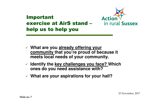

### Important exercise at AirS stand –help us to help you

- **What are you already offering your community that you're proud of because it meets local needs of your community.**
- **Identify the key challenges you face? Which ones do you need assistance with?**
- **What are your aspirations for your hall?**